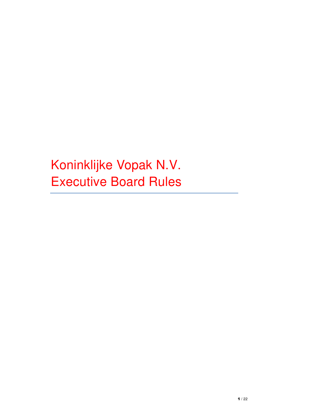Koninklijke Vopak N.V. Executive Board Rules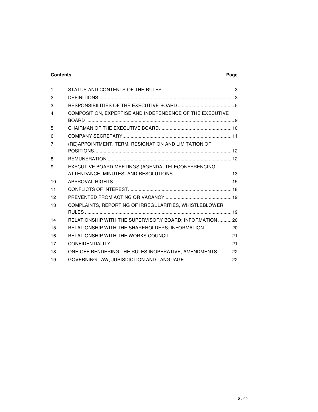# **Contents Page**

| (RE)APPOINTMENT, TERM, RESIGNATION AND LIMITATION OF     |                                                          |
|----------------------------------------------------------|----------------------------------------------------------|
|                                                          |                                                          |
|                                                          |                                                          |
| EXECUTIVE BOARD MEETINGS (AGENDA, TELECONFERENCING,      |                                                          |
|                                                          |                                                          |
|                                                          |                                                          |
|                                                          |                                                          |
|                                                          |                                                          |
| COMPLAINTS, REPORTING OF IRREGULARITIES, WHISTLEBLOWER   |                                                          |
|                                                          |                                                          |
| RELATIONSHIP WITH THE SUPERVISORY BOARD; INFORMATION  20 |                                                          |
| RELATIONSHIP WITH THE SHAREHOLDERS; INFORMATION  20      |                                                          |
|                                                          |                                                          |
|                                                          |                                                          |
| ONE-OFF RENDERING THE RULES INOPERATIVE, AMENDMENTS  22  |                                                          |
|                                                          |                                                          |
|                                                          | COMPOSITION, EXPERTISE AND INDEPENDENCE OF THE EXECUTIVE |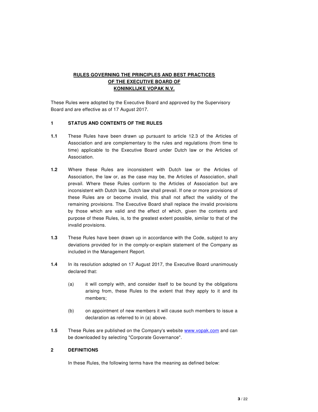# **RULES GOVERNING THE PRINCIPLES AND BEST PRACTICES OF THE EXECUTIVE BOARD OF KONINKLIJKE VOPAK N.V.**

These Rules were adopted by the Executive Board and approved by the Supervisory Board and are effective as of 17 August 2017.

# **1 STATUS AND CONTENTS OF THE RULES**

- **1.1** These Rules have been drawn up pursuant to article 12.3 of the Articles of Association and are complementary to the rules and regulations (from time to time) applicable to the Executive Board under Dutch law or the Articles of Association.
- **1.2** Where these Rules are inconsistent with Dutch law or the Articles of Association, the law or, as the case may be, the Articles of Association, shall prevail. Where these Rules conform to the Articles of Association but are inconsistent with Dutch law, Dutch law shall prevail. If one or more provisions of these Rules are or become invalid, this shall not affect the validity of the remaining provisions. The Executive Board shall replace the invalid provisions by those which are valid and the effect of which, given the contents and purpose of these Rules, is, to the greatest extent possible, similar to that of the invalid provisions.
- **1.3** These Rules have been drawn up in accordance with the Code, subject to any deviations provided for in the comply-or-explain statement of the Company as included in the Management Report.
- **1.4** In its resolution adopted on 17 August 2017, the Executive Board unanimously declared that:
	- (a) it will comply with, and consider itself to be bound by the obligations arising from, these Rules to the extent that they apply to it and its members;
	- (b) on appointment of new members it will cause such members to issue a declaration as referred to in (a) above.
- **1.5** These Rules are published on the Company's website www.vopak.com and can be downloaded by selecting "Corporate Governance".

### **2 DEFINITIONS**

In these Rules, the following terms have the meaning as defined below: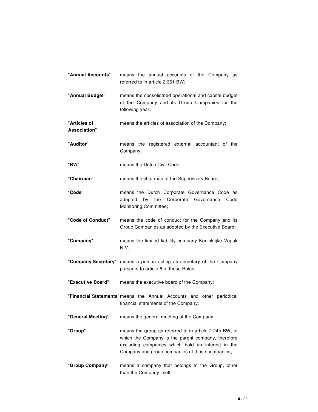| "Annual Accounts"            | means the annual accounts of the Company as<br>referred to in article 2:361 BW;                                                                                                                                      |
|------------------------------|----------------------------------------------------------------------------------------------------------------------------------------------------------------------------------------------------------------------|
| "Annual Budget"              | means the consolidated operational and capital budget<br>of the Company and its Group Companies for the<br>following year;                                                                                           |
| "Articles of<br>Association" | means the articles of association of the Company;                                                                                                                                                                    |
| "Auditor"                    | means the registered external accountant of the<br>Company;                                                                                                                                                          |
| "BW"                         | means the Dutch Civil Code;                                                                                                                                                                                          |
| "Chairman"                   | means the chairman of the Supervisory Board;                                                                                                                                                                         |
| "Code"                       | means the Dutch Corporate Governance Code as<br>the<br>Corporate<br>Code<br>adopted<br>by<br>Governance<br>Monitoring Committee;                                                                                     |
| "Code of Conduct"            | means the code of conduct for the Company and its<br>Group Companies as adopted by the Executive Board;                                                                                                              |
| "Company"                    | means the limited liability company Koninklijke Vopak<br>N.V.;                                                                                                                                                       |
| "Company Secretary"          | means a person acting as secretary of the Company<br>pursuant to article 6 of these Rules;                                                                                                                           |
| "Executive Board"            | means the executive board of the Company;                                                                                                                                                                            |
|                              | "Financial Statements" means the Annual Accounts and other periodical<br>financial statements of the Company;                                                                                                        |
| "General Meeting"            | means the general meeting of the Company;                                                                                                                                                                            |
| "Group"                      | means the group as referred to in article 2:24b BW, of<br>which the Company is the parent company, therefore<br>excluding companies which hold an interest in the<br>Company and group companies of those companies; |
| "Group Company"              | means a company that belongs to the Group, other<br>than the Company itself;                                                                                                                                         |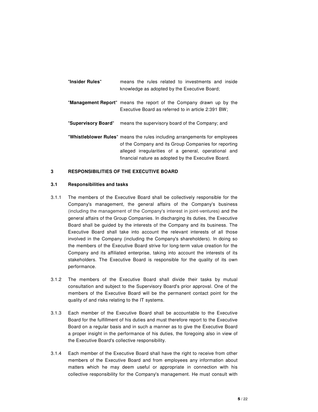| "Insider Rules"     | means the rules related to investments and inside<br>knowledge as adopted by the Executive Board;                                                                                                                                                 |
|---------------------|---------------------------------------------------------------------------------------------------------------------------------------------------------------------------------------------------------------------------------------------------|
|                     | "Management Report" means the report of the Company drawn up by the<br>Executive Board as referred to in article 2:391 BW;                                                                                                                        |
| "Supervisory Board" | means the supervisory board of the Company; and                                                                                                                                                                                                   |
|                     | "Whistleblower Rules" means the rules including arrangements for employees<br>of the Company and its Group Companies for reporting<br>alleged irregularities of a general, operational and<br>financial nature as adopted by the Executive Board. |

### **3 RESPONSIBILITIES OF THE EXECUTIVE BOARD**

#### **3.1 Responsibilities and tasks**

- 3.1.1 The members of the Executive Board shall be collectively responsible for the Company's management, the general affairs of the Company's business (including the management of the Company's interest in joint-ventures) and the general affairs of the Group Companies. In discharging its duties, the Executive Board shall be guided by the interests of the Company and its business. The Executive Board shall take into account the relevant interests of all those involved in the Company (including the Company's shareholders). In doing so the members of the Executive Board strive for long-term value creation for the Company and its affiliated enterprise, taking into account the interests of its stakeholders. The Executive Board is responsible for the quality of its own performance.
- 3.1.2 The members of the Executive Board shall divide their tasks by mutual consultation and subject to the Supervisory Board's prior approval. One of the members of the Executive Board will be the permanent contact point for the quality of and risks relating to the IT systems.
- 3.1.3 Each member of the Executive Board shall be accountable to the Executive Board for the fulfillment of his duties and must therefore report to the Executive Board on a regular basis and in such a manner as to give the Executive Board a proper insight in the performance of his duties, the foregoing also in view of the Executive Board's collective responsibility.
- 3.1.4 Each member of the Executive Board shall have the right to receive from other members of the Executive Board and from employees any information about matters which he may deem useful or appropriate in connection with his collective responsibility for the Company's management. He must consult with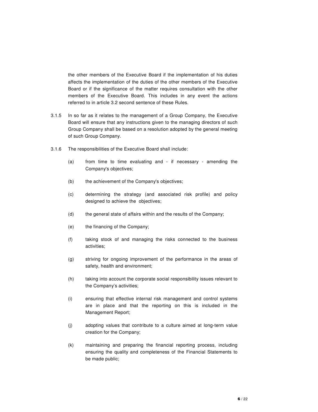the other members of the Executive Board if the implementation of his duties affects the implementation of the duties of the other members of the Executive Board or if the significance of the matter requires consultation with the other members of the Executive Board. This includes in any event the actions referred to in article 3.2 second sentence of these Rules.

- 3.1.5 In so far as it relates to the management of a Group Company, the Executive Board will ensure that any instructions given to the managing directors of such Group Company shall be based on a resolution adopted by the general meeting of such Group Company.
- 3.1.6 The responsibilities of the Executive Board shall include:
	- (a) from time to time evaluating and if necessary amending the Company's objectives;
	- (b) the achievement of the Company's objectives;
	- (c) determining the strategy (and associated risk profile) and policy designed to achieve the objectives;
	- (d) the general state of affairs within and the results of the Company;
	- (e) the financing of the Company;
	- (f) taking stock of and managing the risks connected to the business activities;
	- (g) striving for ongoing improvement of the performance in the areas of safety, health and environment;
	- (h) taking into account the corporate social responsibility issues relevant to the Company's activities;
	- (i) ensuring that effective internal risk management and control systems are in place and that the reporting on this is included in the Management Report;
	- (j) adopting values that contribute to a culture aimed at long-term value creation for the Company;
	- (k) maintaining and preparing the financial reporting process, including ensuring the quality and completeness of the Financial Statements to be made public;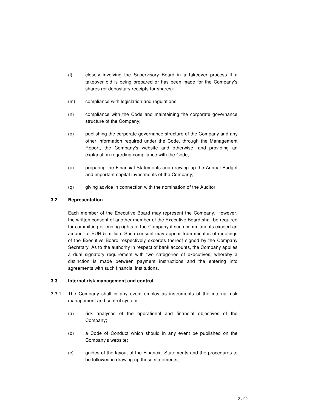- (l) closely involving the Supervisory Board in a takeover process if a takeover bid is being prepared or has been made for the Company's shares (or depositary receipts for shares);
- (m) compliance with legislation and regulations;
- (n) compliance with the Code and maintaining the corporate governance structure of the Company;
- (o) publishing the corporate governance structure of the Company and any other information required under the Code, through the Management Report, the Company's website and otherwise, and providing an explanation regarding compliance with the Code;
- (p) preparing the Financial Statements and drawing up the Annual Budget and important capital investments of the Company;
- (q) giving advice in connection with the nomination of the Auditor.

# **3.2 Representation**

Each member of the Executive Board may represent the Company. However, the written consent of another member of the Executive Board shall be required for committing or ending rights of the Company if such commitments exceed an amount of EUR 5 million. Such consent may appear from minutes of meetings of the Executive Board respectively excerpts thereof signed by the Company Secretary. As to the authority in respect of bank accounts, the Company applies a dual signatory requirement with two categories of executives, whereby a distinction is made between payment instructions and the entering into agreements with such financial institutions.

# **3.3 Internal risk management and control**

- 3.3.1 The Company shall in any event employ as instruments of the internal risk management and control system:
	- (a) risk analyses of the operational and financial objectives of the Company;
	- (b) a Code of Conduct which should in any event be published on the Company's website;
	- (c) guides of the layout of the Financial Statements and the procedures to be followed in drawing up these statements;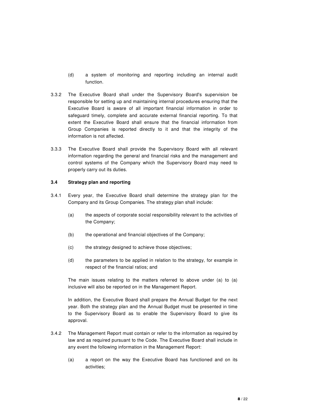- (d) a system of monitoring and reporting including an internal audit function.
- 3.3.2 The Executive Board shall under the Supervisory Board's supervision be responsible for setting up and maintaining internal procedures ensuring that the Executive Board is aware of all important financial information in order to safeguard timely, complete and accurate external financial reporting. To that extent the Executive Board shall ensure that the financial information from Group Companies is reported directly to it and that the integrity of the information is not affected.
- 3.3.3 The Executive Board shall provide the Supervisory Board with all relevant information regarding the general and financial risks and the management and control systems of the Company which the Supervisory Board may need to properly carry out its duties.

### **3.4 Strategy plan and reporting**

- 3.4.1 Every year, the Executive Board shall determine the strategy plan for the Company and its Group Companies. The strategy plan shall include:
	- (a) the aspects of corporate social responsibility relevant to the activities of the Company;
	- (b) the operational and financial objectives of the Company;
	- (c) the strategy designed to achieve those objectives;
	- (d) the parameters to be applied in relation to the strategy, for example in respect of the financial ratios; and

The main issues relating to the matters referred to above under (a) to (a) inclusive will also be reported on in the Management Report.

In addition, the Executive Board shall prepare the Annual Budget for the next year. Both the strategy plan and the Annual Budget must be presented in time to the Supervisory Board as to enable the Supervisory Board to give its approval.

- 3.4.2 The Management Report must contain or refer to the information as required by law and as required pursuant to the Code. The Executive Board shall include in any event the following information in the Management Report:
	- (a) a report on the way the Executive Board has functioned and on its activities;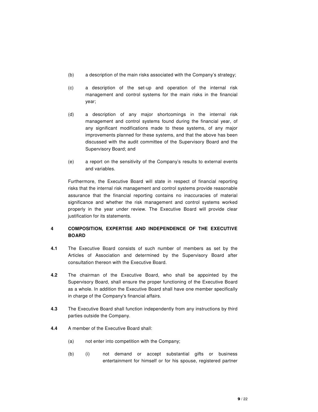- (b) a description of the main risks associated with the Company's strategy;
- (c) a description of the set-up and operation of the internal risk management and control systems for the main risks in the financial year;
- (d) a description of any major shortcomings in the internal risk management and control systems found during the financial year, of any significant modifications made to these systems, of any major improvements planned for these systems, and that the above has been discussed with the audit committee of the Supervisory Board and the Supervisory Board; and
- (e) a report on the sensitivity of the Company's results to external events and variables.

Furthermore, the Executive Board will state in respect of financial reporting risks that the internal risk management and control systems provide reasonable assurance that the financial reporting contains no inaccuracies of material significance and whether the risk management and control systems worked properly in the year under review. The Executive Board will provide clear justification for its statements.

# **4 COMPOSITION, EXPERTISE AND INDEPENDENCE OF THE EXECUTIVE BOARD**

- **4.1** The Executive Board consists of such number of members as set by the Articles of Association and determined by the Supervisory Board after consultation thereon with the Executive Board.
- **4.2** The chairman of the Executive Board, who shall be appointed by the Supervisory Board, shall ensure the proper functioning of the Executive Board as a whole. In addition the Executive Board shall have one member specifically in charge of the Company's financial affairs.
- **4.3** The Executive Board shall function independently from any instructions by third parties outside the Company.
- **4.4** A member of the Executive Board shall:
	- (a) not enter into competition with the Company;
	- (b) (i) not demand or accept substantial gifts or business entertainment for himself or for his spouse, registered partner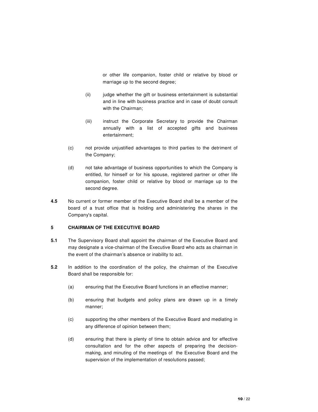or other life companion, foster child or relative by blood or marriage up to the second degree;

- (ii) judge whether the gift or business entertainment is substantial and in line with business practice and in case of doubt consult with the Chairman;
- (iii) instruct the Corporate Secretary to provide the Chairman annually with a list of accepted gifts and business entertainment;
- (c) not provide unjustified advantages to third parties to the detriment of the Company;
- (d) not take advantage of business opportunities to which the Company is entitled, for himself or for his spouse, registered partner or other life companion, foster child or relative by blood or marriage up to the second degree.
- **4.5** No current or former member of the Executive Board shall be a member of the board of a trust office that is holding and administering the shares in the Company's capital.

# **5 CHAIRMAN OF THE EXECUTIVE BOARD**

- **5.1** The Supervisory Board shall appoint the chairman of the Executive Board and may designate a vice-chairman of the Executive Board who acts as chairman in the event of the chairman's absence or inability to act.
- **5.2** In addition to the coordination of the policy, the chairman of the Executive Board shall be responsible for:
	- (a) ensuring that the Executive Board functions in an effective manner;
	- (b) ensuring that budgets and policy plans are drawn up in a timely manner;
	- (c) supporting the other members of the Executive Board and mediating in any difference of opinion between them;
	- (d) ensuring that there is plenty of time to obtain advice and for effective consultation and for the other aspects of preparing the decisionmaking, and minuting of the meetings of the Executive Board and the supervision of the implementation of resolutions passed;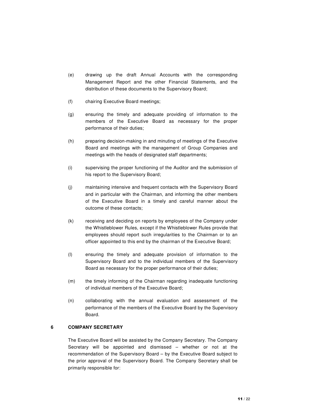- (e) drawing up the draft Annual Accounts with the corresponding Management Report and the other Financial Statements, and the distribution of these documents to the Supervisory Board;
- (f) chairing Executive Board meetings;
- (g) ensuring the timely and adequate providing of information to the members of the Executive Board as necessary for the proper performance of their duties;
- (h) preparing decision-making in and minuting of meetings of the Executive Board and meetings with the management of Group Companies and meetings with the heads of designated staff departments;
- (i) supervising the proper functioning of the Auditor and the submission of his report to the Supervisory Board;
- (j) maintaining intensive and frequent contacts with the Supervisory Board and in particular with the Chairman, and informing the other members of the Executive Board in a timely and careful manner about the outcome of these contacts;
- (k) receiving and deciding on reports by employees of the Company under the Whistleblower Rules, except if the Whistleblower Rules provide that employees should report such irregularities to the Chairman or to an officer appointed to this end by the chairman of the Executive Board;
- (l) ensuring the timely and adequate provision of information to the Supervisory Board and to the individual members of the Supervisory Board as necessary for the proper performance of their duties;
- (m) the timely informing of the Chairman regarding inadequate functioning of individual members of the Executive Board;
- (n) collaborating with the annual evaluation and assessment of the performance of the members of the Executive Board by the Supervisory Board.

# **6 COMPANY SECRETARY**

The Executive Board will be assisted by the Company Secretary. The Company Secretary will be appointed and dismissed – whether or not at the recommendation of the Supervisory Board – by the Executive Board subject to the prior approval of the Supervisory Board. The Company Secretary shall be primarily responsible for: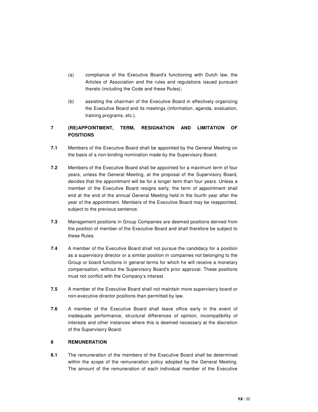- (a) compliance of the Executive Board's functioning with Dutch law, the Articles of Association and the rules and regulations issued pursuant thereto (including the Code and these Rules);
- (b) assisting the chairman of the Executive Board in effectively organizing the Executive Board and its meetings (information, agenda, evaluation, training programs, etc.).

# **7 (RE)APPOINTMENT, TERM, RESIGNATION AND LIMITATION OF POSITIONS**

- **7.1** Members of the Executive Board shall be appointed by the General Meeting on the basis of a non-binding nomination made by the Supervisory Board.
- **7.2** Members of the Executive Board shall be appointed for a maximum term of four years, unless the General Meeting, at the proposal of the Supervisory Board, decides that the appointment will be for a longer term than four years. Unless a member of the Executive Board resigns early, the term of appointment shall end at the end of the annual General Meeting held in the fourth year after the year of the appointment. Members of the Executive Board may be reappointed, subject to the previous sentence.
- **7.3** Management positions in Group Companies are deemed positions derived from the position of member of the Executive Board and shall therefore be subject to these Rules.
- **7.4** A member of the Executive Board shall not pursue the candidacy for a position as a supervisory director or a similar position in companies not belonging to the Group or board functions in general terms for which he will receive a monetary compensation, without the Supervisory Board's prior approval. These positions must not conflict with the Company's interest.
- **7.5** A member of the Executive Board shall not maintain more supervisory board or non-executive director positions than permitted by law.
- **7.6** A member of the Executive Board shall leave office early in the event of inadequate performance, structural differences of opinion, incompatibility of interests and other instances where this is deemed necessary at the discretion of the Supervisory Board.

# **8 REMUNERATION**

**8.1** The remuneration of the members of the Executive Board shall be determined within the scope of the remuneration policy adopted by the General Meeting. The amount of the remuneration of each individual member of the Executive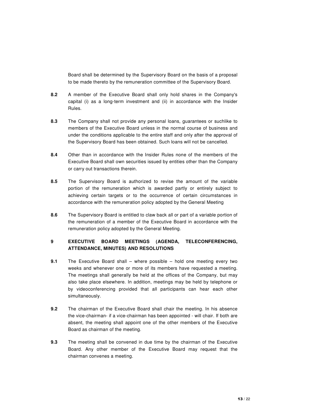Board shall be determined by the Supervisory Board on the basis of a proposal to be made thereto by the remuneration committee of the Supervisory Board.

- **8.2** A member of the Executive Board shall only hold shares in the Company's capital (i) as a long-term investment and (ii) in accordance with the Insider Rules.
- **8.3** The Company shall not provide any personal loans, guarantees or suchlike to members of the Executive Board unless in the normal course of business and under the conditions applicable to the entire staff and only after the approval of the Supervisory Board has been obtained. Such loans will not be cancelled.
- **8.4** Other than in accordance with the Insider Rules none of the members of the Executive Board shall own securities issued by entities other than the Company or carry out transactions therein.
- **8.5** The Supervisory Board is authorized to revise the amount of the variable portion of the remuneration which is awarded partly or entirely subject to achieving certain targets or to the occurrence of certain circumstances in accordance with the remuneration policy adopted by the General Meeting
- **8.6** The Supervisory Board is entitled to claw back all or part of a variable portion of the remuneration of a member of the Executive Board in accordance with the remuneration policy adopted by the General Meeting.

# **9 EXECUTIVE BOARD MEETINGS (AGENDA, TELECONFERENCING, ATTENDANCE, MINUTES) AND RESOLUTIONS**

- **9.1** The Executive Board shall where possible hold one meeting every two weeks and whenever one or more of its members have requested a meeting. The meetings shall generally be held at the offices of the Company, but may also take place elsewhere. In addition, meetings may be held by telephone or by videoconferencing provided that all participants can hear each other simultaneously.
- **9.2** The chairman of the Executive Board shall chair the meeting. In his absence the vice-chairman- if a vice-chairman has been appointed - will chair. If both are absent, the meeting shall appoint one of the other members of the Executive Board as chairman of the meeting.
- **9.3** The meeting shall be convened in due time by the chairman of the Executive Board. Any other member of the Executive Board may request that the chairman convenes a meeting.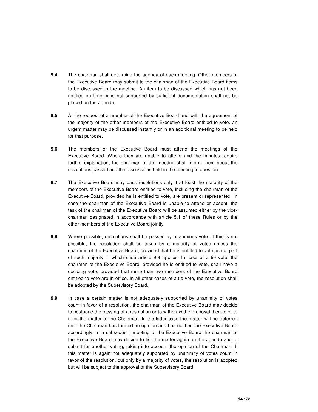- **9.4** The chairman shall determine the agenda of each meeting. Other members of the Executive Board may submit to the chairman of the Executive Board items to be discussed in the meeting. An item to be discussed which has not been notified on time or is not supported by sufficient documentation shall not be placed on the agenda.
- **9.5** At the request of a member of the Executive Board and with the agreement of the majority of the other members of the Executive Board entitled to vote, an urgent matter may be discussed instantly or in an additional meeting to be held for that purpose.
- **9.6** The members of the Executive Board must attend the meetings of the Executive Board. Where they are unable to attend and the minutes require further explanation, the chairman of the meeting shall inform them about the resolutions passed and the discussions held in the meeting in question.
- **9.7** The Executive Board may pass resolutions only if at least the majority of the members of the Executive Board entitled to vote, including the chairman of the Executive Board, provided he is entitled to vote, are present or represented. In case the chairman of the Executive Board is unable to attend or absent, the task of the chairman of the Executive Board will be assumed either by the vicechairman designated in accordance with article 5.1 of these Rules or by the other members of the Executive Board jointly.
- **9.8** Where possible, resolutions shall be passed by unanimous vote. If this is not possible, the resolution shall be taken by a majority of votes unless the chairman of the Executive Board, provided that he is entitled to vote, is not part of such majority in which case article 9.9 applies. In case of a tie vote, the chairman of the Executive Board, provided he is entitled to vote, shall have a deciding vote, provided that more than two members of the Executive Board entitled to vote are in office. In all other cases of a tie vote, the resolution shall be adopted by the Supervisory Board.
- **9.9** In case a certain matter is not adequately supported by unanimity of votes count in favor of a resolution, the chairman of the Executive Board may decide to postpone the passing of a resolution or to withdraw the proposal thereto or to refer the matter to the Chairman. In the latter case the matter will be deferred until the Chairman has formed an opinion and has notified the Executive Board accordingly. In a subsequent meeting of the Executive Board the chairman of the Executive Board may decide to list the matter again on the agenda and to submit for another voting, taking into account the opinion of the Chairman. If this matter is again not adequately supported by unanimity of votes count in favor of the resolution, but only by a majority of votes, the resolution is adopted but will be subject to the approval of the Supervisory Board.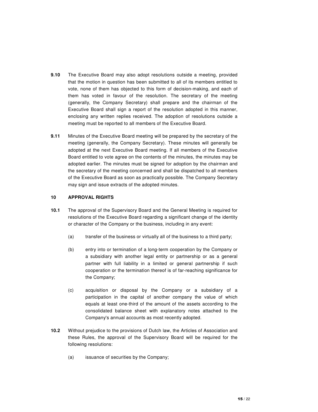- **9.10** The Executive Board may also adopt resolutions outside a meeting, provided that the motion in question has been submitted to all of its members entitled to vote, none of them has objected to this form of decision-making, and each of them has voted in favour of the resolution. The secretary of the meeting (generally, the Company Secretary) shall prepare and the chairman of the Executive Board shall sign a report of the resolution adopted in this manner, enclosing any written replies received. The adoption of resolutions outside a meeting must be reported to all members of the Executive Board.
- **9.11** Minutes of the Executive Board meeting will be prepared by the secretary of the meeting (generally, the Company Secretary). These minutes will generally be adopted at the next Executive Board meeting. If all members of the Executive Board entitled to vote agree on the contents of the minutes, the minutes may be adopted earlier. The minutes must be signed for adoption by the chairman and the secretary of the meeting concerned and shall be dispatched to all members of the Executive Board as soon as practically possible. The Company Secretary may sign and issue extracts of the adopted minutes.

### **10 APPROVAL RIGHTS**

- **10.1** The approval of the Supervisory Board and the General Meeting is required for resolutions of the Executive Board regarding a significant change of the identity or character of the Company or the business, including in any event:
	- (a) transfer of the business or virtually all of the business to a third party;
	- (b) entry into or termination of a long-term cooperation by the Company or a subsidiary with another legal entity or partnership or as a general partner with full liability in a limited or general partnership if such cooperation or the termination thereof is of far-reaching significance for the Company;
	- (c) acquisition or disposal by the Company or a subsidiary of a participation in the capital of another company the value of which equals at least one-third of the amount of the assets according to the consolidated balance sheet with explanatory notes attached to the Company's annual accounts as most recently adopted.
- **10.2** Without prejudice to the provisions of Dutch law, the Articles of Association and these Rules, the approval of the Supervisory Board will be required for the following resolutions:
	- (a) issuance of securities by the Company;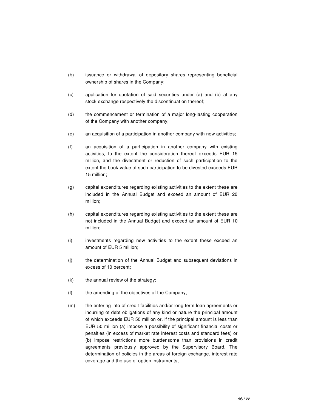- (b) issuance or withdrawal of depository shares representing beneficial ownership of shares in the Company;
- (c) application for quotation of said securities under (a) and (b) at any stock exchange respectively the discontinuation thereof;
- (d) the commencement or termination of a major long-lasting cooperation of the Company with another company;
- (e) an acquisition of a participation in another company with new activities;
- (f) an acquisition of a participation in another company with existing activities, to the extent the consideration thereof exceeds EUR 15 million, and the divestment or reduction of such participation to the extent the book value of such participation to be divested exceeds EUR 15 million;
- (g) capital expenditures regarding existing activities to the extent these are included in the Annual Budget and exceed an amount of EUR 20 million;
- (h) capital expenditures regarding existing activities to the extent these are not included in the Annual Budget and exceed an amount of EUR 10 million;
- (i) investments regarding new activities to the extent these exceed an amount of EUR 5 million;
- (j) the determination of the Annual Budget and subsequent deviations in excess of 10 percent;
- $(k)$  the annual review of the strategy;
- (l) the amending of the objectives of the Company;
- (m) the entering into of credit facilities and/or long term loan agreements or incurring of debt obligations of any kind or nature the principal amount of which exceeds EUR 50 million or, if the principal amount is less than EUR 50 million (a) impose a possibility of significant financial costs or penalties (in excess of market rate interest costs and standard fees) or (b) impose restrictions more burdensome than provisions in credit agreements previously approved by the Supervisory Board. The determination of policies in the areas of foreign exchange, interest rate coverage and the use of option instruments;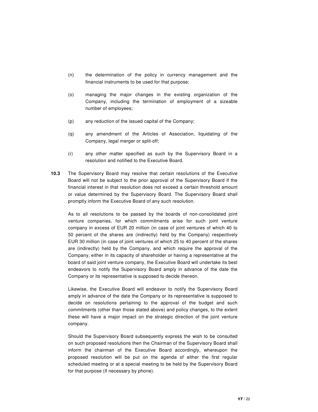- (n) the determination of the policy in currency management and the financial instruments to be used for that purpose;
- (o) managing the major changes in the existing organization of the Company, including the termination of employment of a sizeable number of employees;
- (p) any reduction of the issued capital of the Company;
- (q) any amendment of the Articles of Association, liquidating of the Company, legal merger or split-off;
- (r) any other matter specified as such by the Supervisory Board in a resolution and notified to the Executive Board.
- **10.3** The Supervisory Board may resolve that certain resolutions of the Executive Board will not be subject to the prior approval of the Supervisory Board if the financial interest in that resolution does not exceed a certain threshold amount or value determined by the Supervisory Board. The Supervisory Board shall promptly inform the Executive Board of any such resolution.

As to all resolutions to be passed by the boards of non-consolidated joint venture companies, for which commitments arise for such joint venture company in excess of EUR 20 million (in case of joint ventures of which 40 to 50 percent of the shares are (indirectly) held by the Company) respectively EUR 30 million (in case of joint ventures of which 25 to 40 percent of the shares are (indirectly) held by the Company, and which require the approval of the Company, either in its capacity of shareholder or having a representative at the board of said joint venture company, the Executive Board will undertake its best endeavors to notify the Supervisory Board amply in advance of the date the Company or its representative is supposed to decide thereon.

Likewise, the Executive Board will endeavor to notify the Supervisory Board amply in advance of the date the Company or its representative is supposed to decide on resolutions pertaining to the approval of the budget and such commitments (other than those stated above) and policy changes, to the extent these will have a major impact on the strategic direction of the joint venture company.

Should the Supervisory Board subsequently express the wish to be consulted on such proposed resolutions then the Chairman of the Supervisory Board shall inform the chairman of the Executive Board accordingly, whereupon the proposed resolution will be put on the agenda of either the first regular scheduled meeting or at a special meeting to be held by the Supervisory Board for that purpose (if necessary by phone).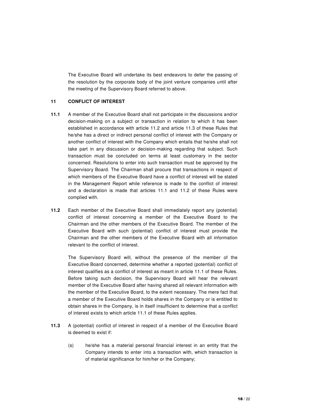The Executive Board will undertake its best endeavors to defer the passing of the resolution by the corporate body of the joint venture companies until after the meeting of the Supervisory Board referred to above.

# **11 CONFLICT OF INTEREST**

- **11.1** A member of the Executive Board shall not participate in the discussions and/or decision-making on a subject or transaction in relation to which it has been established in accordance with article 11.2 and article 11.3 of these Rules that he/she has a direct or indirect personal conflict of interest with the Company or another conflict of interest with the Company which entails that he/she shall not take part in any discussion or decision-making regarding that subject. Such transaction must be concluded on terms at least customary in the sector concerned. Resolutions to enter into such transaction must be approved by the Supervisory Board. The Chairman shall procure that transactions in respect of which members of the Executive Board have a conflict of interest will be stated in the Management Report while reference is made to the conflict of interest and a declaration is made that articles 11.1 and 11.2 of these Rules were complied with.
- **11.2** Each member of the Executive Board shall immediately report any (potential) conflict of interest concerning a member of the Executive Board to the Chairman and the other members of the Executive Board. The member of the Executive Board with such (potential) conflict of interest must provide the Chairman and the other members of the Executive Board with all information relevant to the conflict of interest.

The Supervisory Board will, without the presence of the member of the Executive Board concerned, determine whether a reported (potential) conflict of interest qualifies as a conflict of interest as meant in article 11.1 of these Rules. Before taking such decision, the Supervisory Board will hear the relevant member of the Executive Board after having shared all relevant information with the member of the Executive Board, to the extent necessary. The mere fact that a member of the Executive Board holds shares in the Company or is entitled to obtain shares in the Company, is in itself insufficient to determine that a conflict of interest exists to which article 11.1 of these Rules applies.

- **11.3** A (potential) conflict of interest in respect of a member of the Executive Board is deemed to exist if:
	- (s) he/she has a material personal financial interest in an entity that the Company intends to enter into a transaction with, which transaction is of material significance for him/her or the Company;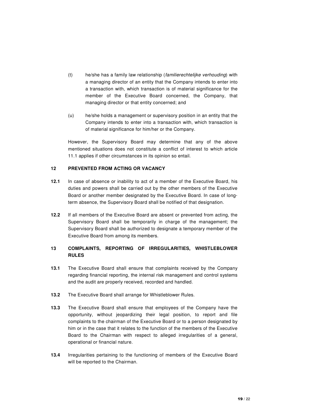- (t) he/she has a family law relationship (familierechtelijke verhouding) with a managing director of an entity that the Company intends to enter into a transaction with, which transaction is of material significance for the member of the Executive Board concerned, the Company, that managing director or that entity concerned; and
- (u) he/she holds a management or supervisory position in an entity that the Company intends to enter into a transaction with, which transaction is of material significance for him/her or the Company.

However, the Supervisory Board may determine that any of the above mentioned situations does not constitute a conflict of interest to which article 11.1 applies if other circumstances in its opinion so entail.

# **12 PREVENTED FROM ACTING OR VACANCY**

- **12.1** In case of absence or inability to act of a member of the Executive Board, his duties and powers shall be carried out by the other members of the Executive Board or another member designated by the Executive Board. In case of longterm absence, the Supervisory Board shall be notified of that designation.
- **12.2** If all members of the Executive Board are absent or prevented from acting, the Supervisory Board shall be temporarily in charge of the management; the Supervisory Board shall be authorized to designate a temporary member of the Executive Board from among its members.

# **13 COMPLAINTS, REPORTING OF IRREGULARITIES, WHISTLEBLOWER RULES**

- **13.1** The Executive Board shall ensure that complaints received by the Company regarding financial reporting, the internal risk management and control systems and the audit are properly received, recorded and handled.
- **13.2** The Executive Board shall arrange for Whistleblower Rules.
- **13.3** The Executive Board shall ensure that employees of the Company have the opportunity, without jeopardizing their legal position, to report and file complaints to the chairman of the Executive Board or to a person designated by him or in the case that it relates to the function of the members of the Executive Board to the Chairman with respect to alleged irregularities of a general, operational or financial nature.
- **13.4** Irregularities pertaining to the functioning of members of the Executive Board will be reported to the Chairman.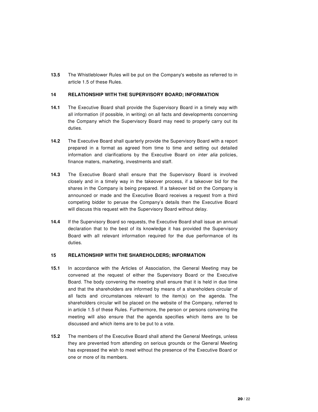**13.5** The Whistleblower Rules will be put on the Company's website as referred to in article 1.5 of these Rules.

# **14 RELATIONSHIP WITH THE SUPERVISORY BOARD; INFORMATION**

- **14.1** The Executive Board shall provide the Supervisory Board in a timely way with all information (if possible, in writing) on all facts and developments concerning the Company which the Supervisory Board may need to properly carry out its duties.
- **14.2** The Executive Board shall quarterly provide the Supervisory Board with a report prepared in a format as agreed from time to time and setting out detailed information and clarifications by the Executive Board on inter alia policies, finance maters, marketing, investments and staff.
- **14.3** The Executive Board shall ensure that the Supervisory Board is involved closely and in a timely way in the takeover process, if a takeover bid for the shares in the Company is being prepared. If a takeover bid on the Company is announced or made and the Executive Board receives a request from a third competing bidder to peruse the Company's details then the Executive Board will discuss this request with the Supervisory Board without delay.
- **14.4** If the Supervisory Board so requests, the Executive Board shall issue an annual declaration that to the best of its knowledge it has provided the Supervisory Board with all relevant information required for the due performance of its duties.

### **15 RELATIONSHIP WITH THE SHAREHOLDERS; INFORMATION**

- **15.1** In accordance with the Articles of Association, the General Meeting may be convened at the request of either the Supervisory Board or the Executive Board. The body convening the meeting shall ensure that it is held in due time and that the shareholders are informed by means of a shareholders circular of all facts and circumstances relevant to the item(s) on the agenda. The shareholders circular will be placed on the website of the Company, referred to in article 1.5 of these Rules. Furthermore, the person or persons convening the meeting will also ensure that the agenda specifies which items are to be discussed and which items are to be put to a vote.
- **15.2** The members of the Executive Board shall attend the General Meetings, unless they are prevented from attending on serious grounds or the General Meeting has expressed the wish to meet without the presence of the Executive Board or one or more of its members.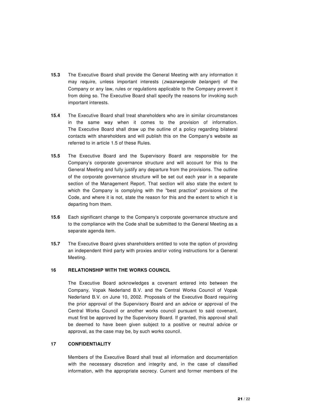- **15.3** The Executive Board shall provide the General Meeting with any information it may require, unless important interests (*zwaarwegende belangen*) of the Company or any law, rules or regulations applicable to the Company prevent it from doing so. The Executive Board shall specify the reasons for invoking such important interests.
- **15.4** The Executive Board shall treat shareholders who are in similar circumstances in the same way when it comes to the provision of information. The Executive Board shall draw up the outline of a policy regarding bilateral contacts with shareholders and will publish this on the Company's website as referred to in article 1.5 of these Rules.
- **15.5** The Executive Board and the Supervisory Board are responsible for the Company's corporate governance structure and will account for this to the General Meeting and fully justify any departure from the provisions. The outline of the corporate governance structure will be set out each year in a separate section of the Management Report. That section will also state the extent to which the Company is complying with the "best practice" provisions of the Code, and where it is not, state the reason for this and the extent to which it is departing from them.
- **15.6** Each significant change to the Company's corporate governance structure and to the compliance with the Code shall be submitted to the General Meeting as a separate agenda item.
- **15.7** The Executive Board gives shareholders entitled to vote the option of providing an independent third party with proxies and/or voting instructions for a General Meeting.

## **16 RELATIONSHIP WITH THE WORKS COUNCIL**

The Executive Board acknowledges a covenant entered into between the Company, Vopak Nederland B.V. and the Central Works Council of Vopak Nederland B.V. on June 10, 2002. Proposals of the Executive Board requiring the prior approval of the Supervisory Board and an advice or approval of the Central Works Council or another works council pursuant to said covenant, must first be approved by the Supervisory Board. If granted, this approval shall be deemed to have been given subject to a positive or neutral advice or approval, as the case may be, by such works council.

### **17 CONFIDENTIALITY**

Members of the Executive Board shall treat all information and documentation with the necessary discretion and integrity and, in the case of classified information, with the appropriate secrecy. Current and former members of the